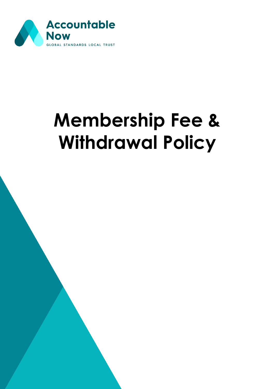

## **Membership Fee & Withdrawal Policy**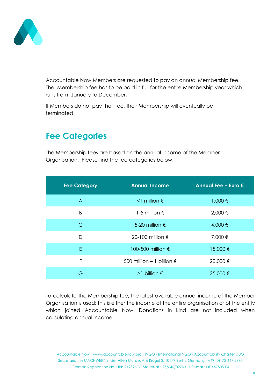

Accountable Now Members are requested to pay an annual Membership fee. The Membership fee has to be paid in full for the entire Membership year which runs from January to December.

If Members do not pay their fee, their Membership will eventually be terminated.

## **Fee Categories**

The Membership fees are based on the annual income of the Member Organisation. Please find the fee categories below:

| <b>Fee Category</b> | <b>Annual Income</b>               | Annual Fee - Euro $\epsilon$ |
|---------------------|------------------------------------|------------------------------|
| $\overline{A}$      | $\leq$ million $\epsilon$          | 1,000 €                      |
| B                   | 1-5 million $\epsilon$             | 2,000 €                      |
| $\mathsf{C}$        | 5-20 million $\epsilon$            | 4,000 €                      |
| D                   | 20-100 million $\epsilon$          | 7,000 €                      |
| E                   | 100-500 million €                  | 15,000 €                     |
| F                   | 500 million - 1 billion $\epsilon$ | 20,000 €                     |
| G                   | >1 billion $\epsilon$              | 25,000 €                     |

To calculate the Membership fee, the latest available annual income of the Member Organisation is used; this is either the income of the entire organisation or of the entity which joined Accountable Now. Donations in kind are not included when calculating annual income.

Accountable Now · www.accountablenow.org · INGO - International NGO - Accountability Charter gUG Secretariat: ℅ MACHWERK in der Alten Münze, Am Krögel 2, 10179 Berlin, Germany · +49 (0)172 647 2990 German Registration No: HRB 212396 B · Steuer-Nr.: 27/640/02763 · USt-IdNr.: DE336768604